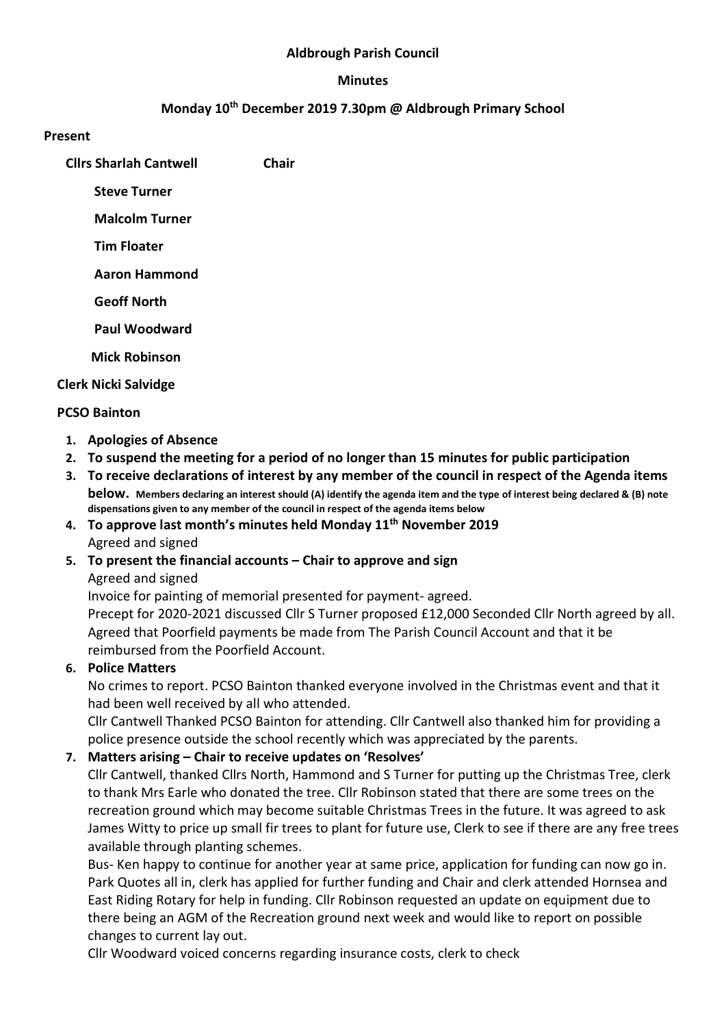#### Aldbrough Parish Council

#### Minutes

#### Monday 10th December 2019 7.30pm @ Aldbrough Primary School

#### Present

Cllrs Sharlah Cantwell Chair

Steve Turner

Malcolm Turner

Tim Floater

Aaron Hammond

Geoff North

Paul Woodward

Mick Robinson

Clerk Nicki Salvidge

#### PCSO Bainton

- 1. Apologies of Absence
- 2. To suspend the meeting for a period of no longer than 15 minutes for public participation
- 3. To receive declarations of interest by any member of the council in respect of the Agenda items below. Members declaring an interest should (A) identify the agenda item and the type of interest being declared & (B) note dispensations given to any member of the council in respect of the agenda items below

## 4. To approve last month's minutes held Monday 11<sup>th</sup> November 2019 Agreed and signed

### 5. To present the financial accounts – Chair to approve and sign

Agreed and signed

Invoice for painting of memorial presented for payment- agreed. Precept for 2020-2021 discussed Cllr S Turner proposed £12,000 Seconded Cllr North agreed by all. Agreed that Poorfield payments be made from The Parish Council Account and that it be reimbursed from the Poorfield Account.

### 6. Police Matters

No crimes to report. PCSO Bainton thanked everyone involved in the Christmas event and that it had been well received by all who attended.

Cllr Cantwell Thanked PCSO Bainton for attending. Cllr Cantwell also thanked him for providing a police presence outside the school recently which was appreciated by the parents.

### 7. Matters arising – Chair to receive updates on 'Resolves'

Cllr Cantwell, thanked Cllrs North, Hammond and S Turner for putting up the Christmas Tree, clerk to thank Mrs Earle who donated the tree. Cllr Robinson stated that there are some trees on the recreation ground which may become suitable Christmas Trees in the future. It was agreed to ask James Witty to price up small fir trees to plant for future use, Clerk to see if there are any free trees available through planting schemes.

Bus- Ken happy to continue for another year at same price, application for funding can now go in. Park Quotes all in, clerk has applied for further funding and Chair and clerk attended Hornsea and East Riding Rotary for help in funding. Cllr Robinson requested an update on equipment due to there being an AGM of the Recreation ground next week and would like to report on possible changes to current lay out.

Cllr Woodward voiced concerns regarding insurance costs, clerk to check